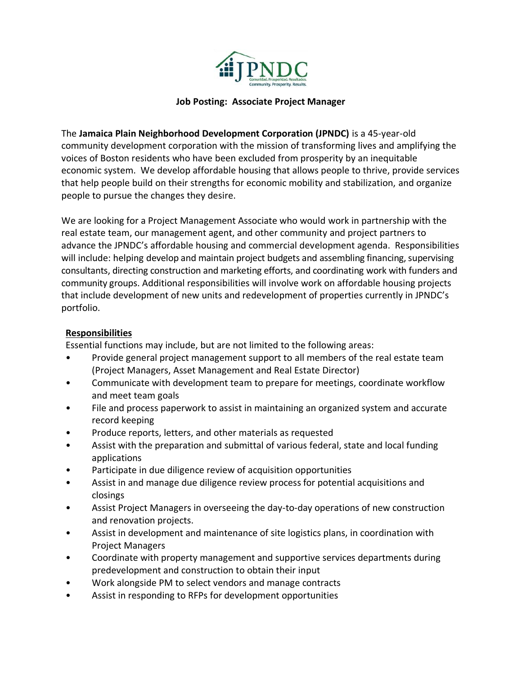

#### **Job Posting: Associate Project Manager**

The **Jamaica Plain Neighborhood Development Corporation (JPNDC)** is a 45-year-old community development corporation with the mission of transforming lives and amplifying the voices of Boston residents who have been excluded from prosperity by an inequitable economic system. We develop affordable housing that allows people to thrive, provide services that help people build on their strengths for economic mobility and stabilization, and organize people to pursue the changes they desire.

We are looking for a Project Management Associate who would work in partnership with the real estate team, our management agent, and other community and project partners to advance the JPNDC's affordable housing and commercial development agenda. Responsibilities will include: helping develop and maintain project budgets and assembling financing, supervising consultants, directing construction and marketing efforts, and coordinating work with funders and community groups. Additional responsibilities will involve work on affordable housing projects that include development of new units and redevelopment of properties currently in JPNDC's portfolio.

#### **Responsibilities**

Essential functions may include, but are not limited to the following areas:

- Provide general project management support to all members of the real estate team (Project Managers, Asset Management and Real Estate Director)
- Communicate with development team to prepare for meetings, coordinate workflow and meet team goals
- File and process paperwork to assist in maintaining an organized system and accurate record keeping
- Produce reports, letters, and other materials as requested
- Assist with the preparation and submittal of various federal, state and local funding applications
- Participate in due diligence review of acquisition opportunities
- Assist in and manage due diligence review process for potential acquisitions and closings
- Assist Project Managers in overseeing the day-to-day operations of new construction and renovation projects.
- Assist in development and maintenance of site logistics plans, in coordination with Project Managers
- Coordinate with property management and supportive services departments during predevelopment and construction to obtain their input
- Work alongside PM to select vendors and manage contracts
- Assist in responding to RFPs for development opportunities